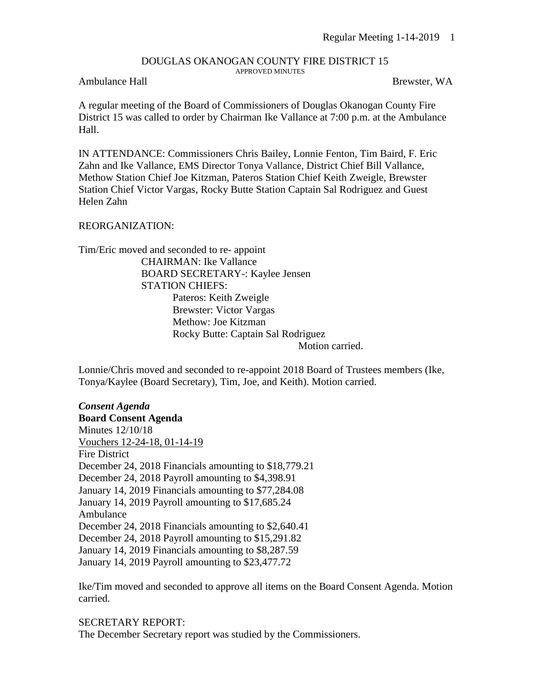## DOUGLAS OKANOGAN COUNTY FIRE DISTRICT 15 APPROVED MINUTES

## Ambulance Hall Brewster, WA

A regular meeting of the Board of Commissioners of Douglas Okanogan County Fire District 15 was called to order by Chairman Ike Vallance at 7:00 p.m. at the Ambulance Hall.

IN ATTENDANCE: Commissioners Chris Bailey, Lonnie Fenton, Tim Baird, F. Eric Zahn and Ike Vallance, EMS Director Tonya Vallance, District Chief Bill Vallance, Methow Station Chief Joe Kitzman, Pateros Station Chief Keith Zweigle, Brewster Station Chief Victor Vargas, Rocky Butte Station Captain Sal Rodriguez and Guest Helen Zahn

## REORGANIZATION:

Tim/Eric moved and seconded to re- appoint CHAIRMAN: Ike Vallance BOARD SECRETARY-: Kaylee Jensen STATION CHIEFS: Pateros: Keith Zweigle Brewster: Victor Vargas Methow: Joe Kitzman Rocky Butte: Captain Sal Rodriguez

Motion carried.

Lonnie/Chris moved and seconded to re-appoint 2018 Board of Trustees members (Ike, Tonya/Kaylee (Board Secretary), Tim, Joe, and Keith). Motion carried.

*Consent Agenda* **Board Consent Agenda** Minutes 12/10/18 Vouchers 12-24-18, 01-14-19 Fire District December 24, 2018 Financials amounting to \$18,779.21 December 24, 2018 Payroll amounting to \$4,398.91 January 14, 2019 Financials amounting to \$77,284.08 January 14, 2019 Payroll amounting to \$17,685.24 Ambulance December 24, 2018 Financials amounting to \$2,640.41 December 24, 2018 Payroll amounting to \$15,291.82 January 14, 2019 Financials amounting to \$8,287.59 January 14, 2019 Payroll amounting to \$23,477.72

Ike/Tim moved and seconded to approve all items on the Board Consent Agenda. Motion carried.

SECRETARY REPORT: The December Secretary report was studied by the Commissioners.